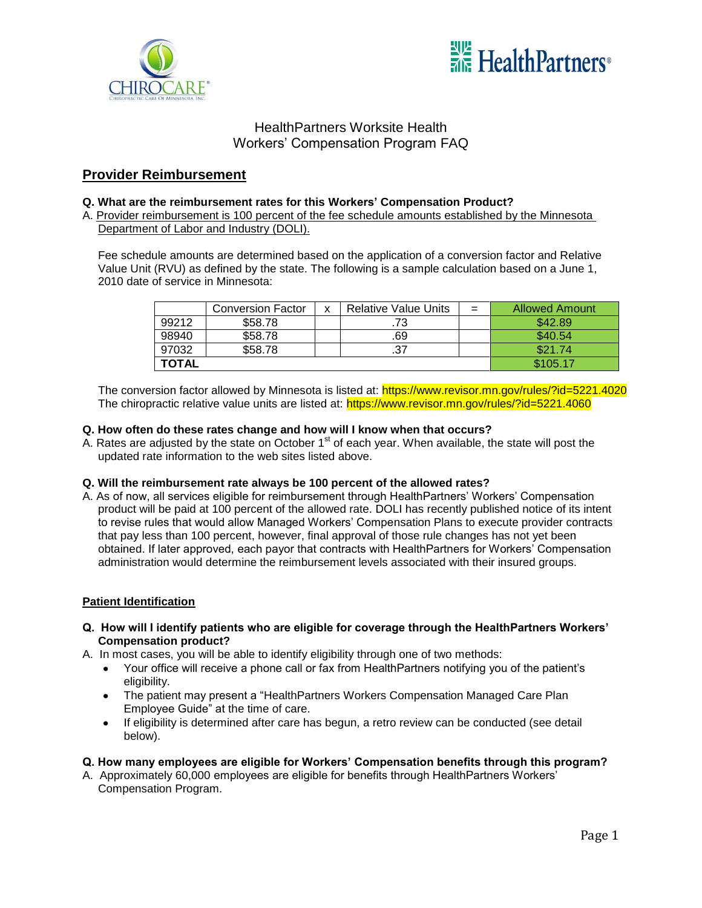



# **Provider Reimbursement**

### **Q. What are the reimbursement rates for this Workers' Compensation Product?**

A. Provider reimbursement is 100 percent of the fee schedule amounts established by the Minnesota Department of Labor and Industry (DOLI).

Fee schedule amounts are determined based on the application of a conversion factor and Relative Value Unit (RVU) as defined by the state. The following is a sample calculation based on a June 1, 2010 date of service in Minnesota:

|              | <b>Conversion Factor</b> | x | <b>Relative Value Units</b> | $=$ | <b>Allowed Amount</b> |
|--------------|--------------------------|---|-----------------------------|-----|-----------------------|
| 99212        | \$58.78                  |   |                             |     | \$42.89               |
| 98940        | \$58.78                  |   | .69                         |     | \$40.54               |
| 97032        | \$58.78                  |   |                             |     | \$21.74               |
| <b>TOTAL</b> |                          |   |                             |     | \$105.17              |

The conversion factor allowed by Minnesota is listed at:<https://www.revisor.mn.gov/rules/?id=5221.4020> The chiropractic relative value units are listed at: <https://www.revisor.mn.gov/rules/?id=5221.4060>

#### **Q. How often do these rates change and how will I know when that occurs?**

A. Rates are adjusted by the state on October 1<sup>st</sup> of each year. When available, the state will post the updated rate information to the web sites listed above.

#### **Q. Will the reimbursement rate always be 100 percent of the allowed rates?**

A. As of now, all services eligible for reimbursement through HealthPartners' Workers' Compensation product will be paid at 100 percent of the allowed rate. DOLI has recently published notice of its intent to revise rules that would allow Managed Workers' Compensation Plans to execute provider contracts that pay less than 100 percent, however, final approval of those rule changes has not yet been obtained. If later approved, each payor that contracts with HealthPartners for Workers' Compensation administration would determine the reimbursement levels associated with their insured groups.

#### **Patient Identification**

- **Q. How will I identify patients who are eligible for coverage through the HealthPartners Workers' Compensation product?**
- A. In most cases, you will be able to identify eligibility through one of two methods:
	- Your office will receive a phone call or fax from HealthPartners notifying you of the patient's eligibility.
	- The patient may present a "HealthPartners Workers Compensation Managed Care Plan Employee Guide" at the time of care.
	- If eligibility is determined after care has begun, a retro review can be conducted (see detail  $\bullet$ below).

#### **Q. How many employees are eligible for Workers' Compensation benefits through this program?**

A. Approximately 60,000 employees are eligible for benefits through HealthPartners Workers' Compensation Program.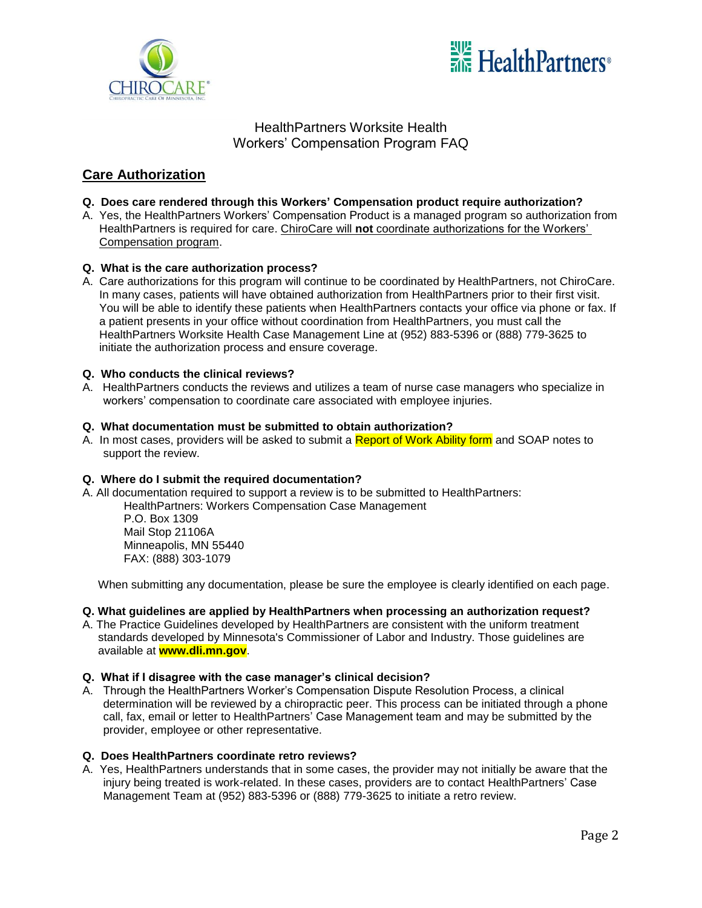



# **Care Authorization**

### **Q. Does care rendered through this Workers' Compensation product require authorization?**

A. Yes, the HealthPartners Workers' Compensation Product is a managed program so authorization from HealthPartners is required for care. ChiroCare will **not** coordinate authorizations for the Workers' Compensation program.

### **Q. What is the care authorization process?**

A. Care authorizations for this program will continue to be coordinated by HealthPartners, not ChiroCare. In many cases, patients will have obtained authorization from HealthPartners prior to their first visit. You will be able to identify these patients when HealthPartners contacts your office via phone or fax. If a patient presents in your office without coordination from HealthPartners, you must call the HealthPartners Worksite Health Case Management Line at (952) 883-5396 or (888) 779-3625 to initiate the authorization process and ensure coverage.

#### **Q. Who conducts the clinical reviews?**

A. HealthPartners conducts the reviews and utilizes a team of nurse case managers who specialize in workers' compensation to coordinate care associated with employee injuries.

#### **Q. What documentation must be submitted to obtain authorization?**

A. In most cases, providers will be asked to submit a Report of Work Ability form and SOAP notes to support the review.

#### **Q. Where do I submit the required documentation?**

A. All documentation required to support a review is to be submitted to HealthPartners:

HealthPartners: Workers Compensation Case Management P.O. Box 1309 Mail Stop 21106A

Minneapolis, MN 55440 FAX: (888) 303-1079

When submitting any documentation, please be sure the employee is clearly identified on each page.

#### **Q. What guidelines are applied by HealthPartners when processing an authorization request?**

A. The Practice Guidelines developed by HealthPartners are consistent with the uniform treatment standards developed by Minnesota's Commissioner of Labor and Industry. Those guidelines are available at **[www.dli.mn.gov](http://www.dli.mn.gov/)**.

#### **Q. What if I disagree with the case manager's clinical decision?**

A. Through the HealthPartners Worker's Compensation Dispute Resolution Process, a clinical determination will be reviewed by a chiropractic peer. This process can be initiated through a phone call, fax, email or letter to HealthPartners' Case Management team and may be submitted by the provider, employee or other representative.

#### **Q. Does HealthPartners coordinate retro reviews?**

A. Yes, HealthPartners understands that in some cases, the provider may not initially be aware that the injury being treated is work-related. In these cases, providers are to contact HealthPartners' Case Management Team at (952) 883-5396 or (888) 779-3625 to initiate a retro review.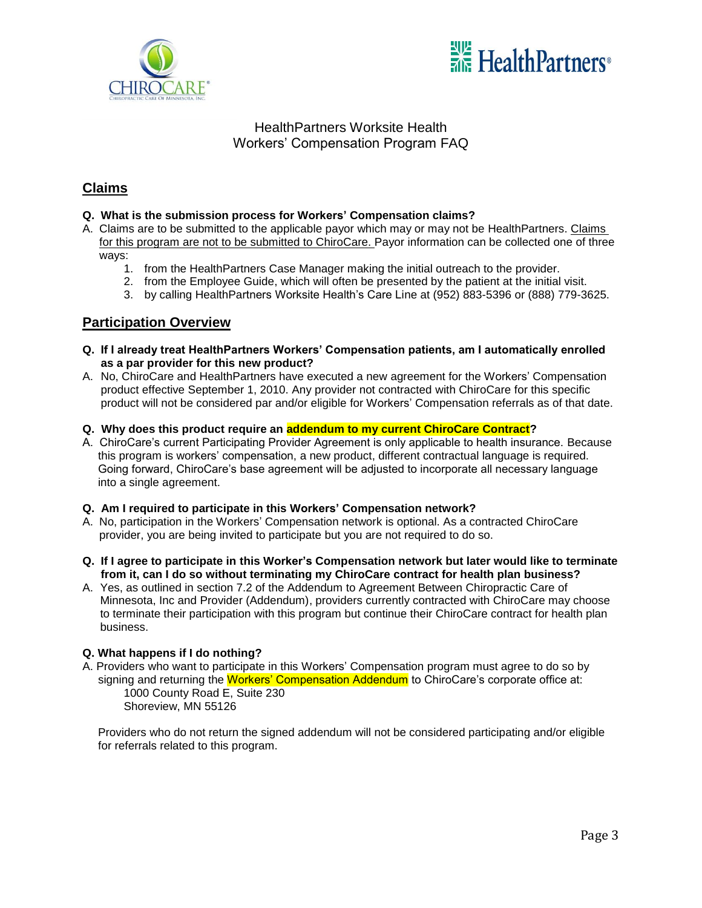



# **Claims**

### **Q. What is the submission process for Workers' Compensation claims?**

- A. Claims are to be submitted to the applicable payor which may or may not be HealthPartners. Claims for this program are not to be submitted to ChiroCare. Payor information can be collected one of three ways:
	- 1. from the HealthPartners Case Manager making the initial outreach to the provider.
	- 2. from the Employee Guide, which will often be presented by the patient at the initial visit.
	- 3. by calling HealthPartners Worksite Health's Care Line at (952) 883-5396 or (888) 779-3625.

### **Participation Overview**

- **Q. If I already treat HealthPartners Workers' Compensation patients, am I automatically enrolled as a par provider for this new product?**
- A. No, ChiroCare and HealthPartners have executed a new agreement for the Workers' Compensation product effective September 1, 2010. Any provider not contracted with ChiroCare for this specific product will not be considered par and/or eligible for Workers' Compensation referrals as of that date.
- **Q. Why does this product require an addendum to my current ChiroCare Contract?**
- A. ChiroCare's current Participating Provider Agreement is only applicable to health insurance. Because this program is workers' compensation, a new product, different contractual language is required. Going forward, ChiroCare's base agreement will be adjusted to incorporate all necessary language into a single agreement.

#### **Q. Am I required to participate in this Workers' Compensation network?**

- A. No, participation in the Workers' Compensation network is optional. As a contracted ChiroCare provider, you are being invited to participate but you are not required to do so.
- **Q. If I agree to participate in this Worker's Compensation network but later would like to terminate from it, can I do so without terminating my ChiroCare contract for health plan business?**
- A. Yes, as outlined in section 7.2 of the Addendum to Agreement Between Chiropractic Care of Minnesota, Inc and Provider (Addendum), providers currently contracted with ChiroCare may choose to terminate their participation with this program but continue their ChiroCare contract for health plan business.

#### **Q. What happens if I do nothing?**

A. Providers who want to participate in this Workers' Compensation program must agree to do so by signing and returning the Workers' Compensation Addendum to ChiroCare's corporate office at: 1000 County Road E, Suite 230 Shoreview, MN 55126

Providers who do not return the signed addendum will not be considered participating and/or eligible for referrals related to this program.